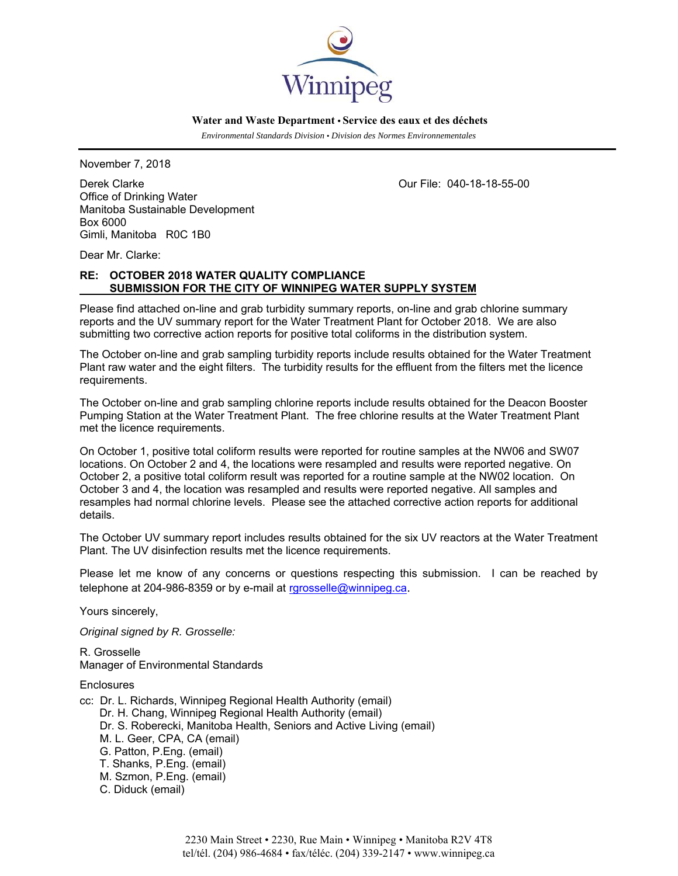

 *Environmental Standards Division • Division des Normes Environnementales* 

November 7, 2018

Derek Clarke Our File: 040-18-18-55-00 Office of Drinking Water Manitoba Sustainable Development Box 6000 Gimli, Manitoba R0C 1B0

Dear Mr. Clarke:

# **RE: OCTOBER 2018 WATER QUALITY COMPLIANCE SUBMISSION FOR THE CITY OF WINNIPEG WATER SUPPLY SYSTEM**

Please find attached on-line and grab turbidity summary reports, on-line and grab chlorine summary reports and the UV summary report for the Water Treatment Plant for October 2018. We are also submitting two corrective action reports for positive total coliforms in the distribution system.

The October on-line and grab sampling turbidity reports include results obtained for the Water Treatment Plant raw water and the eight filters. The turbidity results for the effluent from the filters met the licence requirements.

The October on-line and grab sampling chlorine reports include results obtained for the Deacon Booster Pumping Station at the Water Treatment Plant. The free chlorine results at the Water Treatment Plant met the licence requirements.

On October 1, positive total coliform results were reported for routine samples at the NW06 and SW07 locations. On October 2 and 4, the locations were resampled and results were reported negative. On October 2, a positive total coliform result was reported for a routine sample at the NW02 location. On October 3 and 4, the location was resampled and results were reported negative. All samples and resamples had normal chlorine levels. Please see the attached corrective action reports for additional details.

The October UV summary report includes results obtained for the six UV reactors at the Water Treatment Plant. The UV disinfection results met the licence requirements.

Please let me know of any concerns or questions respecting this submission. I can be reached by telephone at 204-986-8359 or by e-mail at rgrosselle@winnipeg.ca.

Yours sincerely,

*Original signed by R. Grosselle:* 

R. Grosselle Manager of Environmental Standards

**Enclosures** 

- cc: Dr. L. Richards, Winnipeg Regional Health Authority (email)
	- Dr. H. Chang, Winnipeg Regional Health Authority (email)
	- Dr. S. Roberecki, Manitoba Health, Seniors and Active Living (email)
	- M. L. Geer, CPA, CA (email)
	- G. Patton, P.Eng. (email)
	- T. Shanks, P.Eng. (email)
	- M. Szmon, P.Eng. (email)
	- C. Diduck (email)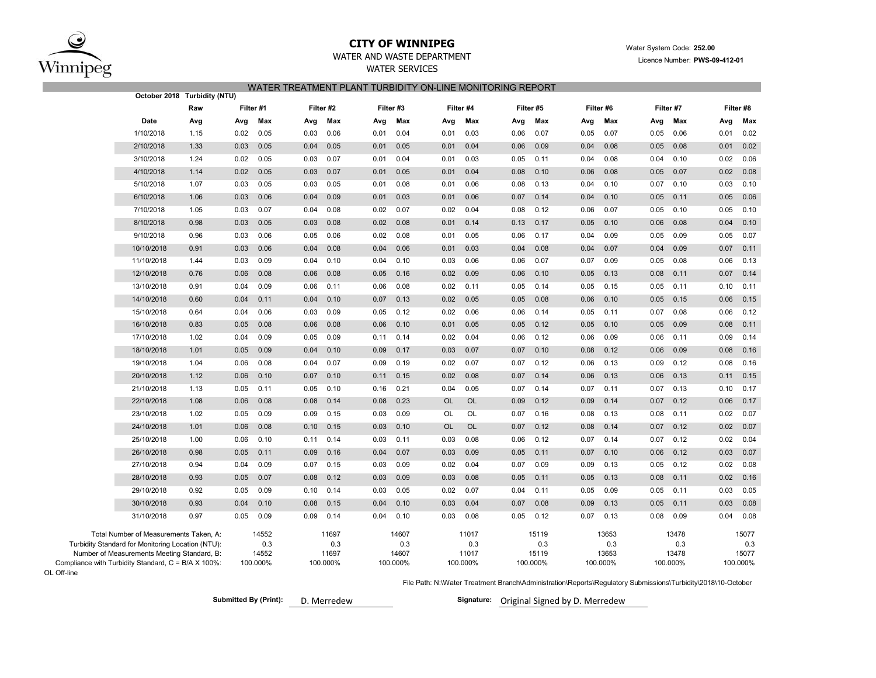

## **CITY OF WINNIPEG**WATER AND WASTE DEPARTMENT

# Water System Code: **252.00**

### WATER SERVICES

Licence Number: **PWS-09-412-01**

### WATER TREATMENT PLANT TURBIDITY ON-LINE MONITORING REPORT

|                                                                                                    | October 2018 Turbidity (NTU) |      |                   |      |                   |      |                   |           |                   |      |                   |      |                   |      |                   |      |                   |
|----------------------------------------------------------------------------------------------------|------------------------------|------|-------------------|------|-------------------|------|-------------------|-----------|-------------------|------|-------------------|------|-------------------|------|-------------------|------|-------------------|
|                                                                                                    | Raw                          |      | Filter #1         |      | Filter #2         |      | Filter #3         |           | Filter #4         |      | Filter #5         |      | Filter #6         |      | Filter #7         |      | Filter #8         |
| <b>Date</b>                                                                                        | Avg                          | Avg  | Max               | Avg  | Max               | Avg  | Max               | Avg       | Max               | Avg  | Max               | Avg  | Max               | Avg  | Max               | Avg  | Max               |
| 1/10/2018                                                                                          | 1.15                         | 0.02 | 0.05              | 0.03 | 0.06              | 0.01 | 0.04              | 0.01      | 0.03              | 0.06 | 0.07              | 0.05 | 0.07              | 0.05 | 0.06              | 0.01 | 0.02              |
| 2/10/2018                                                                                          | 1.33                         | 0.03 | 0.05              | 0.04 | 0.05              | 0.01 | 0.05              | 0.01      | 0.04              | 0.06 | 0.09              | 0.04 | 0.08              | 0.05 | 0.08              | 0.01 | 0.02              |
| 3/10/2018                                                                                          | 1.24                         | 0.02 | 0.05              | 0.03 | 0.07              | 0.01 | 0.04              | 0.01      | 0.03              | 0.05 | 0.11              | 0.04 | 0.08              | 0.04 | 0.10              | 0.02 | 0.06              |
| 4/10/2018                                                                                          | 1.14                         | 0.02 | 0.05              | 0.03 | 0.07              | 0.01 | 0.05              | 0.01      | 0.04              | 0.08 | 0.10              | 0.06 | 0.08              | 0.05 | 0.07              | 0.02 | 0.08              |
| 5/10/2018                                                                                          | 1.07                         | 0.03 | 0.05              | 0.03 | 0.05              | 0.01 | 0.08              | 0.01      | 0.06              | 0.08 | 0.13              | 0.04 | 0.10              | 0.07 | 0.10              | 0.03 | 0.10              |
| 6/10/2018                                                                                          | 1.06                         | 0.03 | 0.06              | 0.04 | 0.09              | 0.01 | 0.03              | 0.01      | 0.06              | 0.07 | 0.14              | 0.04 | 0.10              | 0.05 | 0.11              | 0.05 | 0.06              |
| 7/10/2018                                                                                          | 1.05                         | 0.03 | 0.07              | 0.04 | 0.08              | 0.02 | 0.07              | 0.02      | 0.04              | 0.08 | 0.12              | 0.06 | 0.07              | 0.05 | 0.10              | 0.05 | 0.10              |
| 8/10/2018                                                                                          | 0.98                         | 0.03 | 0.05              | 0.03 | 0.08              | 0.02 | 0.08              | 0.01      | 0.14              | 0.13 | 0.17              | 0.05 | 0.10              | 0.06 | 0.08              | 0.04 | 0.10              |
| 9/10/2018                                                                                          | 0.96                         | 0.03 | 0.06              | 0.05 | 0.06              | 0.02 | 0.08              | 0.01      | 0.05              | 0.06 | 0.17              | 0.04 | 0.09              | 0.05 | 0.09              | 0.05 | 0.07              |
| 10/10/2018                                                                                         | 0.91                         | 0.03 | 0.06              | 0.04 | 0.08              | 0.04 | 0.06              | 0.01      | 0.03              | 0.04 | 0.08              | 0.04 | 0.07              | 0.04 | 0.09              | 0.07 | 0.11              |
| 11/10/2018                                                                                         | 1.44                         | 0.03 | 0.09              | 0.04 | 0.10              | 0.04 | 0.10              | 0.03      | 0.06              | 0.06 | 0.07              | 0.07 | 0.09              | 0.05 | 0.08              | 0.06 | 0.13              |
| 12/10/2018                                                                                         | 0.76                         | 0.06 | 0.08              | 0.06 | 0.08              | 0.05 | 0.16              | 0.02      | 0.09              | 0.06 | 0.10              | 0.05 | 0.13              | 0.08 | 0.11              | 0.07 | 0.14              |
| 13/10/2018                                                                                         | 0.91                         | 0.04 | 0.09              | 0.06 | 0.11              | 0.06 | 0.08              | 0.02      | 0.11              | 0.05 | 0.14              | 0.05 | 0.15              | 0.05 | 0.11              | 0.10 | 0.11              |
| 14/10/2018                                                                                         | 0.60                         | 0.04 | 0.11              | 0.04 | 0.10              | 0.07 | 0.13              | 0.02      | 0.05              | 0.05 | 0.08              | 0.06 | 0.10              | 0.05 | 0.15              | 0.06 | 0.15              |
| 15/10/2018                                                                                         | 0.64                         | 0.04 | 0.06              | 0.03 | 0.09              | 0.05 | 0.12              | 0.02      | 0.06              | 0.06 | 0.14              | 0.05 | 0.11              | 0.07 | 0.08              | 0.06 | 0.12              |
| 16/10/2018                                                                                         | 0.83                         | 0.05 | 0.08              | 0.06 | 0.08              | 0.06 | 0.10              | 0.01      | 0.05              | 0.05 | 0.12              | 0.05 | 0.10              | 0.05 | 0.09              | 0.08 | 0.11              |
| 17/10/2018                                                                                         | 1.02                         | 0.04 | 0.09              | 0.05 | 0.09              | 0.11 | 0.14              | 0.02      | 0.04              | 0.06 | 0.12              | 0.06 | 0.09              | 0.06 | 0.11              | 0.09 | 0.14              |
| 18/10/2018                                                                                         | 1.01                         | 0.05 | 0.09              | 0.04 | 0.10              | 0.09 | 0.17              | 0.03      | 0.07              | 0.07 | 0.10              | 0.08 | 0.12              | 0.06 | 0.09              | 0.08 | 0.16              |
| 19/10/2018                                                                                         | 1.04                         | 0.06 | 0.08              | 0.04 | 0.07              | 0.09 | 0.19              | 0.02      | 0.07              | 0.07 | 0.12              | 0.06 | 0.13              | 0.09 | 0.12              | 0.08 | 0.16              |
| 20/10/2018                                                                                         | 1.12                         | 0.06 | 0.10              | 0.07 | 0.10              | 0.11 | 0.15              | 0.02      | 0.08              | 0.07 | 0.14              | 0.06 | 0.13              | 0.06 | 0.13              | 0.11 | 0.15              |
| 21/10/2018                                                                                         | 1.13                         | 0.05 | 0.11              | 0.05 | 0.10              | 0.16 | 0.21              | 0.04      | 0.05              | 0.07 | 0.14              | 0.07 | 0.11              | 0.07 | 0.13              | 0.10 | 0.17              |
| 22/10/2018                                                                                         | 1.08                         | 0.06 | 0.08              | 0.08 | 0.14              | 0.08 | 0.23              | OL        | OL                | 0.09 | 0.12              | 0.09 | 0.14              | 0.07 | 0.12              | 0.06 | 0.17              |
| 23/10/2018                                                                                         | 1.02                         | 0.05 | 0.09              | 0.09 | 0.15              | 0.03 | 0.09              | <b>OL</b> | OL                | 0.07 | 0.16              | 0.08 | 0.13              | 0.08 | 0.11              | 0.02 | 0.07              |
| 24/10/2018                                                                                         | 1.01                         | 0.06 | 0.08              | 0.10 | 0.15              | 0.03 | 0.10              | <b>OL</b> | <b>OL</b>         | 0.07 | 0.12              | 0.08 | 0.14              | 0.07 | 0.12              | 0.02 | 0.07              |
| 25/10/2018                                                                                         | 1.00                         | 0.06 | 0.10              | 0.11 | 0.14              | 0.03 | 0.11              | 0.03      | 0.08              | 0.06 | 0.12              | 0.07 | 0.14              | 0.07 | 0.12              | 0.02 | 0.04              |
| 26/10/2018                                                                                         | 0.98                         | 0.05 | 0.11              | 0.09 | 0.16              | 0.04 | 0.07              | 0.03      | 0.09              | 0.05 | 0.11              | 0.07 | 0.10              | 0.06 | 0.12              | 0.03 | 0.07              |
| 27/10/2018                                                                                         | 0.94                         | 0.04 | 0.09              | 0.07 | 0.15              | 0.03 | 0.09              | 0.02      | 0.04              | 0.07 | 0.09              | 0.09 | 0.13              | 0.05 | 0.12              | 0.02 | 0.08              |
| 28/10/2018                                                                                         | 0.93                         | 0.05 | 0.07              | 0.08 | 0.12              | 0.03 | 0.09              | 0.03      | 0.08              | 0.05 | 0.11              | 0.05 | 0.13              | 0.08 | 0.11              | 0.02 | 0.16              |
| 29/10/2018                                                                                         | 0.92                         | 0.05 | 0.09              | 0.10 | 0.14              | 0.03 | 0.05              | 0.02      | 0.07              | 0.04 | 0.11              | 0.05 | 0.09              | 0.05 | 0.11              | 0.03 | 0.05              |
| 30/10/2018                                                                                         | 0.93                         | 0.04 | 0.10              | 0.08 | 0.15              | 0.04 | 0.10              | 0.03      | 0.04              | 0.07 | 0.08              | 0.09 | 0.13              | 0.05 | 0.11              | 0.03 | 0.08              |
| 31/10/2018                                                                                         | 0.97                         | 0.05 | 0.09              | 0.09 | 0.14              | 0.04 | 0.10              | 0.03      | 0.08              | 0.05 | 0.12              | 0.07 | 0.13              | 0.08 | 0.09              | 0.04 | 0.08              |
| Total Number of Measurements Taken, A:<br>Turbidity Standard for Monitoring Location (NTU):        |                              |      | 14552<br>0.3      |      | 11697<br>0.3      |      | 14607<br>0.3      |           | 11017<br>0.3      |      | 15119<br>0.3      |      | 13653<br>0.3      |      | 13478<br>0.3      |      | 15077<br>0.3      |
| Number of Measurements Meeting Standard, B:<br>Compliance with Turbidity Standard, C = B/A X 100%: |                              |      | 14552<br>100.000% |      | 11697<br>100.000% |      | 14607<br>100.000% |           | 11017<br>100.000% |      | 15119<br>100.000% |      | 13653<br>100.000% |      | 13478<br>100.000% |      | 15077<br>100.000% |

OL Off-line

File Path: N:\Water Treatment Branch\Administration\Reports\Regulatory Submissions\Turbidity\2018\10-October

**Submitted By (Print):** 

D. Merredew **Signature:** Original Signed by D. Merredew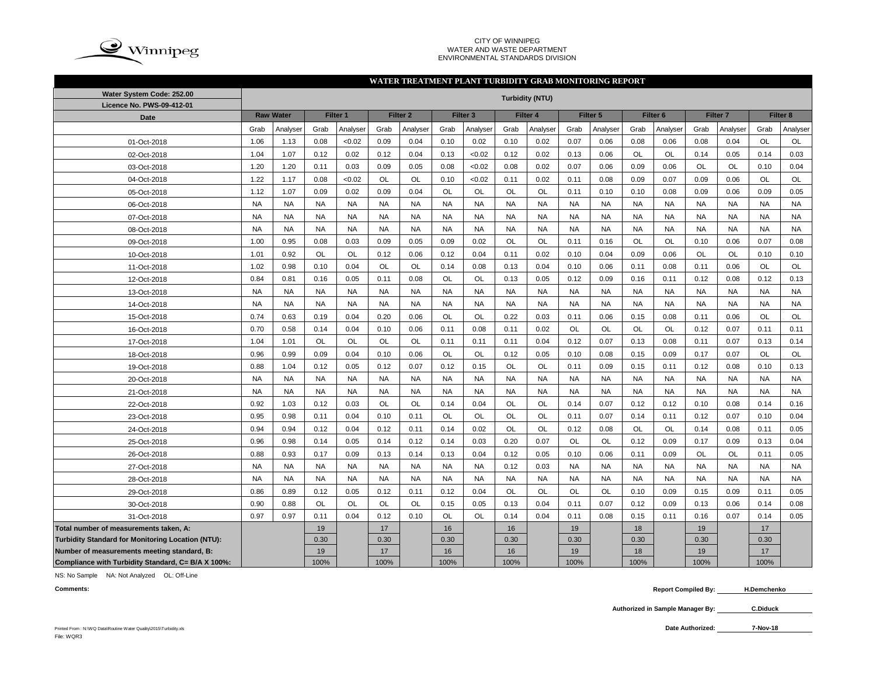

#### CITY OF WINNIPEG WATER AND WASTE DEPARTMENT ENVIRONMENTAL STANDARDS DIVISION

### **WATER TREATMENT PLANT TURBIDITY GRAB MONITORING REPORT**

| Water System Code: 252.00                          | <b>Turbidity (NTU)</b> |                  |           |           |           |                     |           |                     |           |           |           |           |           |                     |           |                     |           |           |
|----------------------------------------------------|------------------------|------------------|-----------|-----------|-----------|---------------------|-----------|---------------------|-----------|-----------|-----------|-----------|-----------|---------------------|-----------|---------------------|-----------|-----------|
| Licence No. PWS-09-412-01                          |                        |                  |           |           |           |                     |           |                     |           |           |           |           |           |                     |           |                     | Filter 8  |           |
| <b>Date</b>                                        |                        | <b>Raw Water</b> |           | Filter 1  |           | Filter <sub>2</sub> |           | Filter <sub>3</sub> |           | Filter 4  |           | Filter 5  |           | Filter <sub>6</sub> |           | Filter <sub>7</sub> |           |           |
|                                                    | Grab                   | Analyser         | Grab      | Analyser  | Grab      | Analyser            | Grab      | Analyser            | Grab      | Analyser  | Grab      | Analyser  | Grab      | Analyser            | Grab      | Analyser            | Grab      | Analyser  |
| 01-Oct-2018                                        | 1.06                   | 1.13             | 0.08      | < 0.02    | 0.09      | 0.04                | 0.10      | 0.02                | 0.10      | 0.02      | 0.07      | 0.06      | 0.08      | 0.06                | 0.08      | 0.04                | <b>OL</b> | OL        |
| 02-Oct-2018                                        | 1.04                   | 1.07             | 0.12      | 0.02      | 0.12      | 0.04                | 0.13      | < 0.02              | 0.12      | 0.02      | 0.13      | 0.06      | <b>OL</b> | OL                  | 0.14      | 0.05                | 0.14      | 0.03      |
| 03-Oct-2018                                        | 1.20                   | 1.20             | 0.11      | 0.03      | 0.09      | 0.05                | 0.08      | < 0.02              | 0.08      | 0.02      | 0.07      | 0.06      | 0.09      | 0.06                | <b>OL</b> | <b>OL</b>           | 0.10      | 0.04      |
| 04-Oct-2018                                        | 1.22                   | 1.17             | 0.08      | <0.02     | OL        | OL                  | 0.10      | < 0.02              | 0.11      | 0.02      | 0.11      | 0.08      | 0.09      | 0.07                | 0.09      | 0.06                | <b>OL</b> | <b>OL</b> |
| 05-Oct-2018                                        | 1.12                   | 1.07             | 0.09      | 0.02      | 0.09      | 0.04                | <b>OL</b> | OL                  | OL        | OL        | 0.11      | 0.10      | 0.10      | 0.08                | 0.09      | 0.06                | 0.09      | 0.05      |
| 06-Oct-2018                                        | <b>NA</b>              | <b>NA</b>        | <b>NA</b> | <b>NA</b> | <b>NA</b> | <b>NA</b>           | <b>NA</b> | <b>NA</b>           | <b>NA</b> | <b>NA</b> | <b>NA</b> | <b>NA</b> | <b>NA</b> | <b>NA</b>           | <b>NA</b> | <b>NA</b>           | <b>NA</b> | <b>NA</b> |
| 07-Oct-2018                                        | <b>NA</b>              | <b>NA</b>        | <b>NA</b> | <b>NA</b> | <b>NA</b> | <b>NA</b>           | <b>NA</b> | <b>NA</b>           | <b>NA</b> | <b>NA</b> | <b>NA</b> | <b>NA</b> | <b>NA</b> | <b>NA</b>           | <b>NA</b> | <b>NA</b>           | <b>NA</b> | <b>NA</b> |
| 08-Oct-2018                                        | <b>NA</b>              | <b>NA</b>        | <b>NA</b> | <b>NA</b> | <b>NA</b> | <b>NA</b>           | <b>NA</b> | <b>NA</b>           | <b>NA</b> | <b>NA</b> | <b>NA</b> | <b>NA</b> | <b>NA</b> | <b>NA</b>           | <b>NA</b> | <b>NA</b>           | <b>NA</b> | <b>NA</b> |
| 09-Oct-2018                                        | 1.00                   | 0.95             | 0.08      | 0.03      | 0.09      | 0.05                | 0.09      | 0.02                | <b>OL</b> | <b>OL</b> | 0.11      | 0.16      | <b>OL</b> | <b>OL</b>           | 0.10      | 0.06                | 0.07      | 0.08      |
| 10-Oct-2018                                        | 1.01                   | 0.92             | <b>OL</b> | <b>OL</b> | 0.12      | 0.06                | 0.12      | 0.04                | 0.11      | 0.02      | 0.10      | 0.04      | 0.09      | 0.06                | OL        | <b>OL</b>           | 0.10      | 0.10      |
| 11-Oct-2018                                        | 1.02                   | 0.98             | 0.10      | 0.04      | OL        | <b>OL</b>           | 0.14      | 0.08                | 0.13      | 0.04      | 0.10      | 0.06      | 0.11      | 0.08                | 0.11      | 0.06                | OL        | OL        |
| 12-Oct-2018                                        | 0.84                   | 0.81             | 0.16      | 0.05      | 0.11      | 0.08                | OL        | OL                  | 0.13      | 0.05      | 0.12      | 0.09      | 0.16      | 0.11                | 0.12      | 0.08                | 0.12      | 0.13      |
| 13-Oct-2018                                        | <b>NA</b>              | <b>NA</b>        | <b>NA</b> | <b>NA</b> | <b>NA</b> | <b>NA</b>           | <b>NA</b> | <b>NA</b>           | <b>NA</b> | <b>NA</b> | <b>NA</b> | <b>NA</b> | <b>NA</b> | <b>NA</b>           | <b>NA</b> | <b>NA</b>           | <b>NA</b> | <b>NA</b> |
| 14-Oct-2018                                        | <b>NA</b>              | <b>NA</b>        | <b>NA</b> | <b>NA</b> | <b>NA</b> | <b>NA</b>           | <b>NA</b> | <b>NA</b>           | <b>NA</b> | <b>NA</b> | <b>NA</b> | <b>NA</b> | <b>NA</b> | <b>NA</b>           | <b>NA</b> | <b>NA</b>           | <b>NA</b> | <b>NA</b> |
| 15-Oct-2018                                        | 0.74                   | 0.63             | 0.19      | 0.04      | 0.20      | 0.06                | OL        | OL                  | 0.22      | 0.03      | 0.11      | 0.06      | 0.15      | 0.08                | 0.11      | 0.06                | OL        | OL        |
| 16-Oct-2018                                        | 0.70                   | 0.58             | 0.14      | 0.04      | 0.10      | 0.06                | 0.11      | 0.08                | 0.11      | 0.02      | OL        | <b>OL</b> | OL        | OL                  | 0.12      | 0.07                | 0.11      | 0.11      |
| 17-Oct-2018                                        | 1.04                   | 1.01             | OL        | <b>OL</b> | OL        | <b>OL</b>           | 0.11      | 0.11                | 0.11      | 0.04      | 0.12      | 0.07      | 0.13      | 0.08                | 0.11      | 0.07                | 0.13      | 0.14      |
| 18-Oct-2018                                        | 0.96                   | 0.99             | 0.09      | 0.04      | 0.10      | 0.06                | <b>OL</b> | <b>OL</b>           | 0.12      | 0.05      | 0.10      | 0.08      | 0.15      | 0.09                | 0.17      | 0.07                | <b>OL</b> | <b>OL</b> |
| 19-Oct-2018                                        | 0.88                   | 1.04             | 0.12      | 0.05      | 0.12      | 0.07                | 0.12      | 0.15                | <b>OL</b> | <b>OL</b> | 0.11      | 0.09      | 0.15      | 0.11                | 0.12      | 0.08                | 0.10      | 0.13      |
| 20-Oct-2018                                        | <b>NA</b>              | <b>NA</b>        | <b>NA</b> | <b>NA</b> | <b>NA</b> | <b>NA</b>           | <b>NA</b> | <b>NA</b>           | <b>NA</b> | <b>NA</b> | <b>NA</b> | <b>NA</b> | <b>NA</b> | <b>NA</b>           | <b>NA</b> | <b>NA</b>           | <b>NA</b> | <b>NA</b> |
| 21-Oct-2018                                        | <b>NA</b>              | <b>NA</b>        | <b>NA</b> | <b>NA</b> | <b>NA</b> | <b>NA</b>           | <b>NA</b> | <b>NA</b>           | <b>NA</b> | <b>NA</b> | <b>NA</b> | <b>NA</b> | <b>NA</b> | <b>NA</b>           | <b>NA</b> | <b>NA</b>           | <b>NA</b> | <b>NA</b> |
| 22-Oct-2018                                        | 0.92                   | 1.03             | 0.12      | 0.03      | OL        | OL                  | 0.14      | 0.04                | OL        | OL        | 0.14      | 0.07      | 0.12      | 0.12                | 0.10      | 0.08                | 0.14      | 0.16      |
| 23-Oct-2018                                        | 0.95                   | 0.98             | 0.11      | 0.04      | 0.10      | 0.11                | <b>OL</b> | OL                  | OL        | OL        | 0.11      | 0.07      | 0.14      | 0.11                | 0.12      | 0.07                | 0.10      | 0.04      |
| 24-Oct-2018                                        | 0.94                   | 0.94             | 0.12      | 0.04      | 0.12      | 0.11                | 0.14      | 0.02                | OL        | OL        | 0.12      | 0.08      | OL        | OL                  | 0.14      | 0.08                | 0.11      | 0.05      |
| 25-Oct-2018                                        | 0.96                   | 0.98             | 0.14      | 0.05      | 0.14      | 0.12                | 0.14      | 0.03                | 0.20      | 0.07      | <b>OL</b> | <b>OL</b> | 0.12      | 0.09                | 0.17      | 0.09                | 0.13      | 0.04      |
| 26-Oct-2018                                        | 0.88                   | 0.93             | 0.17      | 0.09      | 0.13      | 0.14                | 0.13      | 0.04                | 0.12      | 0.05      | 0.10      | 0.06      | 0.11      | 0.09                | OL        | <b>OL</b>           | 0.11      | 0.05      |
| 27-Oct-2018                                        | <b>NA</b>              | <b>NA</b>        | <b>NA</b> | <b>NA</b> | <b>NA</b> | <b>NA</b>           | <b>NA</b> | <b>NA</b>           | 0.12      | 0.03      | <b>NA</b> | <b>NA</b> | <b>NA</b> | <b>NA</b>           | <b>NA</b> | <b>NA</b>           | <b>NA</b> | <b>NA</b> |
| 28-Oct-2018                                        | <b>NA</b>              | <b>NA</b>        | <b>NA</b> | <b>NA</b> | <b>NA</b> | <b>NA</b>           | <b>NA</b> | <b>NA</b>           | <b>NA</b> | <b>NA</b> | <b>NA</b> | <b>NA</b> | <b>NA</b> | <b>NA</b>           | <b>NA</b> | <b>NA</b>           | <b>NA</b> | <b>NA</b> |
| 29-Oct-2018                                        | 0.86                   | 0.89             | 0.12      | 0.05      | 0.12      | 0.11                | 0.12      | 0.04                | <b>OL</b> | OL        | <b>OL</b> | OL        | 0.10      | 0.09                | 0.15      | 0.09                | 0.11      | 0.05      |
| 30-Oct-2018                                        | 0.90                   | 0.88             | OL        | <b>OL</b> | OL        | <b>OL</b>           | 0.15      | 0.05                | 0.13      | 0.04      | 0.11      | 0.07      | 0.12      | 0.09                | 0.13      | 0.06                | 0.14      | 0.08      |
| 31-Oct-2018                                        | 0.97                   | 0.97             | 0.11      | 0.04      | 0.12      | 0.10                | OL        | <b>OL</b>           | 0.14      | 0.04      | 0.11      | 0.08      | 0.15      | 0.11                | 0.16      | 0.07                | 0.14      | 0.05      |
| Total number of measurements taken, A:             |                        |                  | 19        |           | 17        |                     | 16        |                     | 16        |           | 19        |           | 18        |                     | 19        |                     | 17        |           |
| Turbidity Standard for Monitoring Location (NTU):  |                        |                  | 0.30      |           | 0.30      |                     | 0.30      |                     | 0.30      |           | 0.30      |           | 0.30      |                     | 0.30      |                     | 0.30      |           |
| Number of measurements meeting standard, B:        |                        |                  | 19        |           | 17        |                     | 16        |                     | 16        |           | 19        |           | 18        |                     | 19        |                     | 17        |           |
| Compliance with Turbidity Standard, C= B/A X 100%: |                        |                  | 100%      |           | 100%      |                     | 100%      |                     | 100%      |           | 100%      |           | 100%      |                     | 100%      |                     | 100%      |           |

NS: No Sample NA: Not Analyzed OL: Off-Line

**H.Demchenko**

**Authorized in Sample Manager By: C.Diduck**

**7-Nov-18**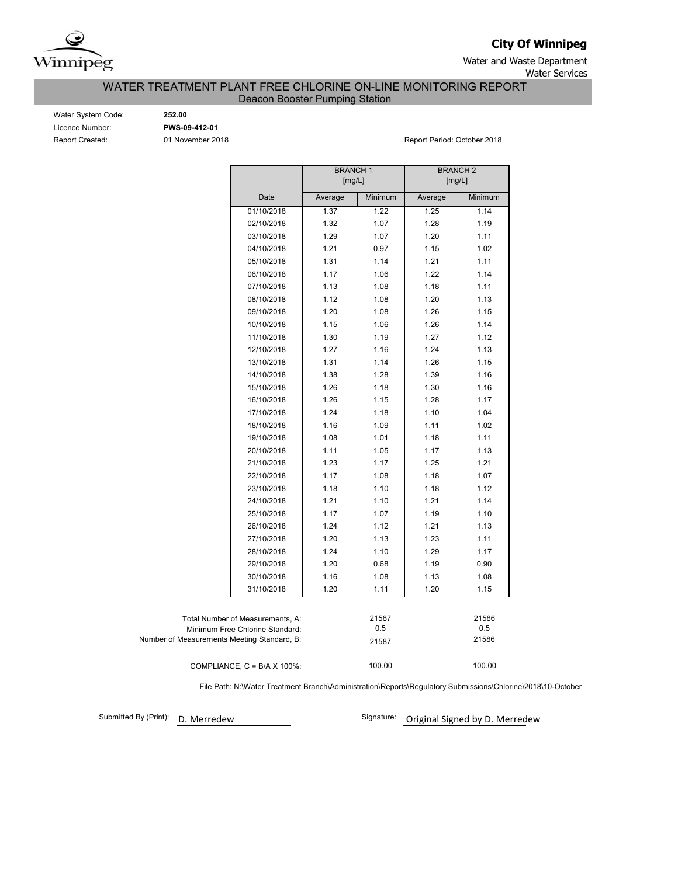

**City Of Winnipeg**

Water and Waste Department Water Services

WATER TREATMENT PLANT FREE CHLORINE ON-LINE MONITORING REPORT

Deacon Booster Pumping Station

Water System Code: **252.00** Licence Number: **PWS-09-412-01**

Report Created: 01 November 2018 Report Period: October 2018

|                                             |         | <b>BRANCH1</b> | <b>BRANCH2</b> |         |  |  |  |
|---------------------------------------------|---------|----------------|----------------|---------|--|--|--|
|                                             |         | [mg/L]         | [mg/L]         |         |  |  |  |
| Date                                        | Average | Minimum        | Average        | Minimum |  |  |  |
| 01/10/2018                                  | 1.37    | 1.22           | 1.25           | 1.14    |  |  |  |
| 02/10/2018                                  | 1.32    | 1.07           | 1.28           | 1.19    |  |  |  |
| 03/10/2018                                  | 1.29    | 1.07           | 1.20           | 1.11    |  |  |  |
| 04/10/2018                                  | 1.21    | 0.97           | 1.15           | 1.02    |  |  |  |
| 05/10/2018                                  | 1.31    | 1.14           | 1.21           | 1.11    |  |  |  |
| 06/10/2018                                  | 1.17    | 1.06           | 1.22           | 1.14    |  |  |  |
| 07/10/2018                                  | 1.13    | 1.08           | 1.18           | 1.11    |  |  |  |
| 08/10/2018                                  | 1.12    | 1.08           | 1.20           | 1.13    |  |  |  |
| 09/10/2018                                  | 1.20    | 1.08           | 1.26           | 1.15    |  |  |  |
| 10/10/2018                                  | 1.15    | 1.06           | 1.26           | 1.14    |  |  |  |
| 11/10/2018                                  | 1.30    | 1.19           | 1.27           | 1.12    |  |  |  |
| 12/10/2018                                  | 1.27    | 1.16           | 1.24           | 1.13    |  |  |  |
| 13/10/2018                                  | 1.31    | 1.14           | 1.26           | 1.15    |  |  |  |
| 14/10/2018                                  | 1.38    | 1.28           | 1.39           | 1.16    |  |  |  |
| 15/10/2018                                  | 1.26    | 1.18           | 1.30           | 1.16    |  |  |  |
| 16/10/2018                                  | 1.26    | 1.15           | 1.28           | 1.17    |  |  |  |
| 17/10/2018                                  | 1.24    | 1.18           | 1.10           | 1.04    |  |  |  |
| 18/10/2018                                  | 1.16    | 1.09           | 1.11           | 1.02    |  |  |  |
| 19/10/2018                                  | 1.08    | 1.01           | 1.18           | 1.11    |  |  |  |
| 20/10/2018                                  | 1.11    | 1.05           | 1.17           | 1.13    |  |  |  |
| 21/10/2018                                  | 1.23    | 1.17           | 1.25           | 1.21    |  |  |  |
| 22/10/2018                                  | 1.17    | 1.08           | 1.18           | 1.07    |  |  |  |
| 23/10/2018                                  | 1.18    | 1.10           | 1.18           | 1.12    |  |  |  |
| 24/10/2018                                  | 1.21    | 1.10           | 1.21           | 1.14    |  |  |  |
| 25/10/2018                                  | 1.17    | 1.07           | 1.19           | 1.10    |  |  |  |
| 26/10/2018                                  | 1.24    | 1.12           | 1.21           | 1.13    |  |  |  |
| 27/10/2018                                  | 1.20    | 1.13           | 1.23           | 1.11    |  |  |  |
| 28/10/2018                                  | 1.24    | 1.10           | 1.29           | 1.17    |  |  |  |
| 29/10/2018                                  | 1.20    | 0.68           | 1.19           | 0.90    |  |  |  |
| 30/10/2018                                  | 1.16    | 1.08           | 1.13           | 1.08    |  |  |  |
| 31/10/2018                                  | 1.20    | 1.11           | 1.20           | 1.15    |  |  |  |
|                                             |         |                |                |         |  |  |  |
| Total Number of Measurements, A:            |         | 21587          |                | 21586   |  |  |  |
| Minimum Free Chlorine Standard:             |         | 0.5            |                | 0.5     |  |  |  |
| Number of Measurements Meeting Standard, B: |         | 21587          |                | 21586   |  |  |  |
|                                             |         |                |                |         |  |  |  |
| COMPLIANCE, $C = B/A \times 100\%$ :        |         | 100.00         |                | 100.00  |  |  |  |

File Path: N:\Water Treatment Branch\Administration\Reports\Regulatory Submissions\Chlorine\2018\10-October

Submitted By (Print): D. Merredew

Signature: Original Signed by D. Merredew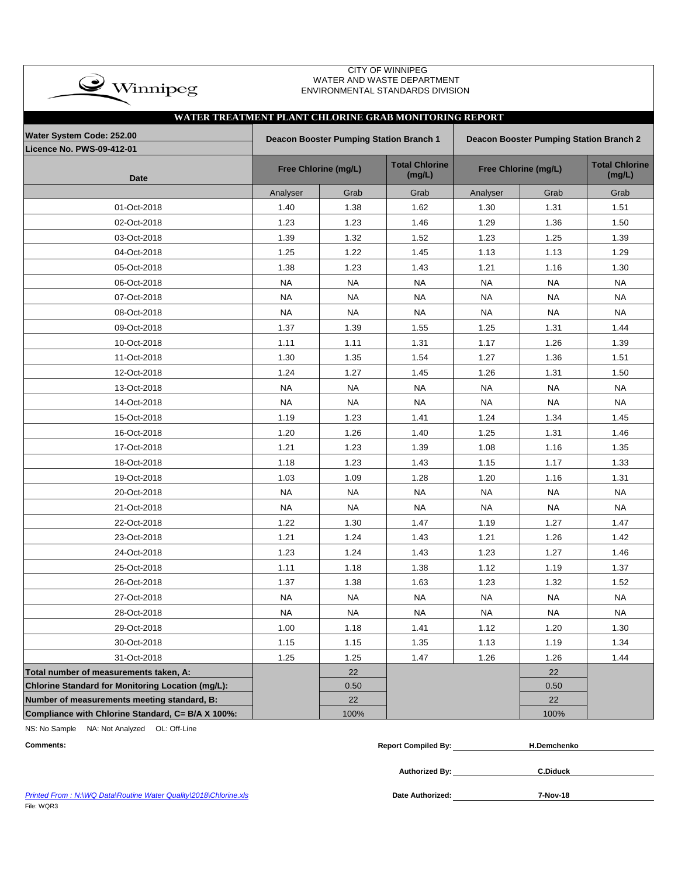| <b>CITY OF WINNIPEG</b><br>WATER AND WASTE DEPARTMENT<br>$\clubsuit$ Winnipeg<br>ENVIRONMENTAL STANDARDS DIVISION<br>WATER TREATMENT PLANT CHLORINE GRAB MONITORING REPORT |           |                                                |                                 |                                         |                      |                                 |  |  |  |  |  |  |  |
|----------------------------------------------------------------------------------------------------------------------------------------------------------------------------|-----------|------------------------------------------------|---------------------------------|-----------------------------------------|----------------------|---------------------------------|--|--|--|--|--|--|--|
|                                                                                                                                                                            |           |                                                |                                 |                                         |                      |                                 |  |  |  |  |  |  |  |
| Water System Code: 252.00                                                                                                                                                  |           | <b>Deacon Booster Pumping Station Branch 1</b> |                                 | Deacon Booster Pumping Station Branch 2 |                      |                                 |  |  |  |  |  |  |  |
| Licence No. PWS-09-412-01                                                                                                                                                  |           |                                                |                                 |                                         |                      |                                 |  |  |  |  |  |  |  |
| <b>Date</b>                                                                                                                                                                |           | Free Chlorine (mg/L)                           | <b>Total Chlorine</b><br>(mg/L) |                                         | Free Chlorine (mg/L) | <b>Total Chlorine</b><br>(mg/L) |  |  |  |  |  |  |  |
|                                                                                                                                                                            | Analyser  | Grab                                           | Grab                            | Analyser                                | Grab                 | Grab                            |  |  |  |  |  |  |  |
| 01-Oct-2018                                                                                                                                                                | 1.40      | 1.38                                           | 1.62                            | 1.30                                    | 1.31                 | 1.51                            |  |  |  |  |  |  |  |
| 02-Oct-2018                                                                                                                                                                | 1.23      | 1.23                                           | 1.46                            | 1.29                                    | 1.36                 | 1.50                            |  |  |  |  |  |  |  |
| 03-Oct-2018                                                                                                                                                                | 1.39      | 1.32                                           | 1.52                            | 1.23                                    | 1.25                 | 1.39                            |  |  |  |  |  |  |  |
| 04-Oct-2018                                                                                                                                                                | 1.25      | 1.22                                           | 1.45                            | 1.13                                    | 1.13                 | 1.29                            |  |  |  |  |  |  |  |
| 05-Oct-2018                                                                                                                                                                | 1.38      | 1.23                                           | 1.43                            | 1.21                                    | 1.16                 | 1.30                            |  |  |  |  |  |  |  |
| 06-Oct-2018                                                                                                                                                                | <b>NA</b> | <b>NA</b>                                      | <b>NA</b>                       | <b>NA</b>                               | <b>NA</b>            | <b>NA</b>                       |  |  |  |  |  |  |  |
| 07-Oct-2018                                                                                                                                                                | <b>NA</b> | <b>NA</b>                                      | <b>NA</b>                       | <b>NA</b>                               | NA                   | <b>NA</b>                       |  |  |  |  |  |  |  |
| 08-Oct-2018                                                                                                                                                                | <b>NA</b> | <b>NA</b>                                      | <b>NA</b>                       | <b>NA</b>                               | <b>NA</b>            | <b>NA</b>                       |  |  |  |  |  |  |  |
| 09-Oct-2018                                                                                                                                                                | 1.37      | 1.39                                           | 1.55                            | 1.25                                    | 1.31                 | 1.44                            |  |  |  |  |  |  |  |
| 10-Oct-2018                                                                                                                                                                | 1.11      | 1.11                                           | 1.31                            | 1.17                                    | 1.26                 | 1.39                            |  |  |  |  |  |  |  |
| 11-Oct-2018                                                                                                                                                                | 1.30      | 1.35                                           | 1.54                            | 1.27                                    | 1.36                 | 1.51                            |  |  |  |  |  |  |  |
| 12-Oct-2018                                                                                                                                                                | 1.24      | 1.27                                           | 1.45                            | 1.26                                    | 1.31                 | 1.50                            |  |  |  |  |  |  |  |
| 13-Oct-2018                                                                                                                                                                | <b>NA</b> | <b>NA</b>                                      | <b>NA</b>                       | <b>NA</b>                               | <b>NA</b>            | <b>NA</b>                       |  |  |  |  |  |  |  |
| 14-Oct-2018                                                                                                                                                                | <b>NA</b> | <b>NA</b>                                      | <b>NA</b>                       | <b>NA</b>                               | <b>NA</b>            | <b>NA</b>                       |  |  |  |  |  |  |  |
| 15-Oct-2018                                                                                                                                                                | 1.19      | 1.23                                           | 1.41                            | 1.24                                    | 1.34                 | 1.45                            |  |  |  |  |  |  |  |
| 16-Oct-2018                                                                                                                                                                | 1.20      | 1.26                                           | 1.40                            | 1.25                                    | 1.31                 | 1.46                            |  |  |  |  |  |  |  |
| 17-Oct-2018                                                                                                                                                                | 1.21      | 1.23                                           | 1.39                            | 1.08                                    | 1.16                 | 1.35                            |  |  |  |  |  |  |  |
| 18-Oct-2018                                                                                                                                                                | 1.18      | 1.23                                           | 1.43                            | 1.15                                    | 1.17                 | 1.33                            |  |  |  |  |  |  |  |
| 19-Oct-2018                                                                                                                                                                | 1.03      | 1.09                                           | 1.28                            | 1.20                                    | 1.16                 | 1.31                            |  |  |  |  |  |  |  |
| 20-Oct-2018                                                                                                                                                                | <b>NA</b> | NA                                             | NA                              | <b>NA</b>                               | NA                   | NA.                             |  |  |  |  |  |  |  |
| 21-Oct-2018                                                                                                                                                                | NA        | NA.                                            | NA.                             | NA                                      | NA                   | NA                              |  |  |  |  |  |  |  |
| 22-Oct-2018                                                                                                                                                                | 1.22      | 1.30                                           | 1.47                            | 1.19                                    | 1.27                 | 1.47                            |  |  |  |  |  |  |  |
| 23-Oct-2018                                                                                                                                                                | 1.21      | 1.24                                           | 1.43                            | 1.21                                    | 1.26                 | 1.42                            |  |  |  |  |  |  |  |
| 24-Oct-2018                                                                                                                                                                | 1.23      | 1.24                                           | 1.43                            | 1.23                                    | 1.27                 | 1.46                            |  |  |  |  |  |  |  |
| 25-Oct-2018                                                                                                                                                                | 1.11      | 1.18                                           | 1.38                            | 1.12                                    | 1.19                 | 1.37                            |  |  |  |  |  |  |  |
| 26-Oct-2018                                                                                                                                                                | 1.37      | 1.38                                           | 1.63                            | 1.23                                    | 1.32                 | 1.52                            |  |  |  |  |  |  |  |
| 27-Oct-2018                                                                                                                                                                | NA        | <b>NA</b>                                      | <b>NA</b>                       | <b>NA</b>                               | <b>NA</b>            | <b>NA</b>                       |  |  |  |  |  |  |  |
| 28-Oct-2018                                                                                                                                                                | <b>NA</b> | <b>NA</b>                                      | <b>NA</b>                       | <b>NA</b>                               | <b>NA</b>            | <b>NA</b>                       |  |  |  |  |  |  |  |
| 29-Oct-2018                                                                                                                                                                | 1.00      | 1.18                                           | 1.41                            | 1.12                                    | 1.20                 | 1.30                            |  |  |  |  |  |  |  |
| 30-Oct-2018                                                                                                                                                                | 1.15      | 1.15                                           | 1.35                            | 1.13                                    | 1.19                 | 1.34                            |  |  |  |  |  |  |  |
| 31-Oct-2018                                                                                                                                                                | 1.25      | 1.25                                           | 1.47                            | 1.26                                    | 1.26                 | 1.44                            |  |  |  |  |  |  |  |
| Total number of measurements taken, A:                                                                                                                                     |           | 22                                             |                                 |                                         | 22                   |                                 |  |  |  |  |  |  |  |
| Chlorine Standard for Monitoring Location (mg/L):                                                                                                                          |           | 0.50                                           |                                 |                                         | 0.50                 |                                 |  |  |  |  |  |  |  |
| Number of measurements meeting standard, B:                                                                                                                                |           | 22                                             |                                 |                                         | 22                   |                                 |  |  |  |  |  |  |  |
| Compliance with Chlorine Standard, C= B/A X 100%:                                                                                                                          |           | 100%                                           |                                 |                                         | 100%                 |                                 |  |  |  |  |  |  |  |

NS: No Sample NA: Not Analyzed OL: Off-Line

| <b>Comments:</b>                                                               | <b>Report Compiled By:</b> | <b>H.Demchenko</b> |
|--------------------------------------------------------------------------------|----------------------------|--------------------|
|                                                                                | <b>Authorized By:</b>      | <b>C.Diduck</b>    |
| Printed From: N:\WQ Data\Routine Water Quality\2018\Chlorine.xls<br>__________ | <b>Date Authorized:</b>    | 7-Nov-18           |

**Printed From : N:\WQ Data\Routine Water Quality\2018\Chlorine.xls** File: WQR3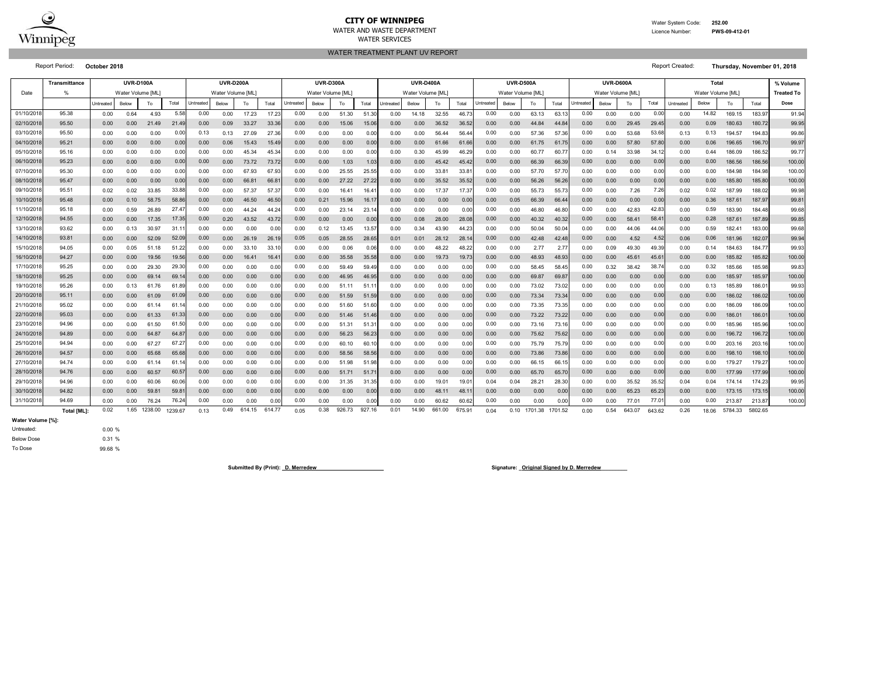

#### **CITY OF WINNIPEG**WATER AND WASTE DEPARTMENTWATER SERVICES

 Water System Code: **252.00** Licence Number:

#### **PWS-09-412-01**

WATER TREATMENT PLANT UV REPORT

|           | <b>Transmittance</b> | <b>UVR-D100A</b><br><b>UVR-D200A</b> |                   |            |         |           | <b>UVR-D400A</b><br><b>UVR-D300A</b> |        |        |           |                   | UVR-D600A<br><b>UVR-D500A</b> |        |                  |                   |        |        |                  | <b>Total</b>      |         |         | % Volume         |                   |        |        |                  |       |         |         |                   |
|-----------|----------------------|--------------------------------------|-------------------|------------|---------|-----------|--------------------------------------|--------|--------|-----------|-------------------|-------------------------------|--------|------------------|-------------------|--------|--------|------------------|-------------------|---------|---------|------------------|-------------------|--------|--------|------------------|-------|---------|---------|-------------------|
| Date      | %                    |                                      | Water Volume [ML] |            |         |           | Water Volume [ML]                    |        |        |           | Water Volume [ML] |                               |        |                  | Water Volume [ML] |        |        |                  | Water Volume [ML] |         |         |                  | Water Volume [ML] |        |        | Water Volume IML |       |         |         | <b>Treated To</b> |
|           |                      | Untreated                            | Below             | To         | Total   | Untreated | Below                                | To     | Total  | Untreated | Below             | To                            | Total  | <b>Jntreated</b> | Below             | To     | Total  | <b>Jntreated</b> | Below             | To      | Total   | <b>Jntreated</b> | Below             | To     | Total  | Untreated        | Below | To      | Total   | Dose              |
| 01/10/201 | 95.38                | 0.00                                 | 0.64              | 4.93       | 5.58    | 0.00      | 0.00                                 | 17.23  | 17.2   | 0.00      | 0.00              | 51.30                         | 51.3   | 0.00             | 14.18             | 32.55  | 46.7   | 0.00             | 0.00              | 63.13   | 63.1    | 0.00             | 0.00              | 0.00   | 0.00   | 0.00             | 14.82 | 169.15  | 183.9   | 91.94             |
| 02/10/201 | 95.50                | 0.00                                 | 0.00              | 21.49      | 21.49   | 0.00      | 0.09                                 | 33.27  | 33.3   | 0.00      | 0.00              | 15.06                         | 15.0   | 0.00             | 0.00              | 36.52  | 36.52  | 0.00             | 0.00              | 44.84   | 44.8    | 0.00             | 0.00              | 29.45  | 29.45  | 0.00             | 0.09  | 180.63  | 180.72  | 99.95             |
| 03/10/201 | 95.50                | 0.00                                 | 0.00              | 0.00       | 0.00    | 0.13      | 0.13                                 | 27.09  | 27.3   | 0.00      | 0.00              | 0.00                          | 0.00   | 0.00             | 0.00              | 56.44  | 56.44  | 0.00             | 0.00              | 57.36   | 57.36   | 0.00             | 0.00              | 53.68  | 53.68  | 0.13             | 0.13  | 194.57  | 194.83  | 99.86             |
| 04/10/201 | 95.21                | 0.00                                 | 0.00              | 0.00       | 0.00    | 0.00      | 0.06                                 | 15.43  | 15.49  | 0.00      | 0.00              | 0.00                          | 0.00   | 0.00             | 0.00              | 61.66  | 61.66  | 0.00             | 0.00              | 61.75   | 61.75   | 0.00             | 0.00              | 57.80  | 57.80  | 0.00             | 0.06  | 196.65  | 196.70  | 99.97             |
| 05/10/201 | 95.16                | 0.00                                 | 0.00              | 0.00       | 0.00    | 0.00      | 0.00                                 | 45.34  | 45.3   | 0.00      | 0.00              | 0.00                          | 0.00   | 0.00             | 0.30              | 45.99  | 46.29  | 0.00             | 0.00              | 60.77   | 60.7    | 0.00             | 0.14              | 33.98  | 34.    | 0.00             | 0.44  | 186.09  | 186.52  | 99.7              |
| 06/10/201 | 95.23                | 0.00                                 | 0.00              | 0.00       | 0.00    | 0.00      | 0.00                                 | 73.72  | 73.7   | 0.00      | 0.00              | 1.03                          | 1.03   | 0.00             | 0.00              | 45.42  | 45.42  | 0.00             | 0.00              | 66.39   | 66.3    | 0.00             | 0.00              | 0.00   | 0.00   | 0.00             | 0.00  | 186.56  | 186.56  | 100.00            |
| 07/10/201 | 95.30                | 0.00                                 | 0.00              | 0.00       | 0.00    | 0.00      | 0.00                                 | 67.93  | 67.9   | 0.00      | 0.00              | 25.55                         | 25.5   | 0.00             | 0.00              | 33.81  | 33.8   | 0.00             | 0.00              | 57.70   | 57.7    | 0.00             | 0.00              | 0.00   | 0.00   | 0.00             | 0.00  | 184.98  | 184.98  | 100.00            |
| 08/10/201 | 95.47                | 0.00                                 | 0.00              | 0.00       | 0.00    | 0.00      | 0.00                                 | 66.81  | 66.8   | 0.00      | 0.00              | 27.22                         | 27.2   | 0.00             | 0.00              | 35.52  | 35.52  | 0.00             | 0.00              | 56.26   | 56.2    | 0.00             | 0.00              | 0.00   | 0.00   | 0.00             | 0.00  | 185.80  | 185.80  | 100.00            |
| 09/10/201 | 95.51                | 0.02                                 | 0.02              | 33.85      | 33.8    | 0.00      | 0.00                                 | 57.37  | 57.3   | 0.00      | 0.00              | 16.4                          | 16.4   | 0.00             | 0.00              | 17.37  | 17.3   | 0.00             | 0.00              | 55.73   | 55.7    | 0.00             | 0.00              | 7.26   | 7.26   | 0.02             | 0.02  | 187.99  | 188.02  | 99.98             |
| 10/10/201 | 95.48                | 0.00                                 | 0.10              | 58.75      | 58.8    | 0.00      | 0.00                                 | 46.50  | 46.5   | 0.00      | 0.21              | 15.96                         | 16.1   | 0.00             | 0.00              | 0.00   | 0.00   | 0.00             | 0.05              | 66.39   | 66.4    | 0.00             | 0.00              | 0.00   | 0.00   | 0.00             | 0.36  | 187.61  | 187.97  | 99.8              |
| 11/10/201 | 95.18                | 0.00                                 | 0.59              | 26.89      | 27.4    | 0.00      | 0.00                                 | 44.24  | 44.2   | 0.00      | 0.00              | 23.14                         | 23.1   | 0.00             | 0.00              | 0.00   | 0.00   | 0.00             | 0.00              | 46.80   | 46.8    | 0.00             | 0.00              | 42.83  | 42.8   | 0.00             | 0.59  | 183.90  | 184.48  | 99.68             |
| 12/10/201 | 94.55                | 0.00                                 | 0.00              | 17.35      | 17.35   | 0.00      | 0.20                                 | 43.52  | 43.7   | 0.00      | 0.00              | 0.00                          | 0.00   | 0.00             | 0.08              | 28.00  | 28.08  | 0.00             | 0.00              | 40.32   | 40.32   | 0.00             | 0.00              | 58.41  | 58.4   | 0.00             | 0.28  | 187.61  | 187.89  | 99.85             |
| 13/10/201 | 93.62                | 0.00                                 | 0.13              | 30.97      | 31.1    | 0.00      | 0.00                                 | 0.00   | 0.01   | 0.00      | 0.12              | 13.45                         | 13.57  | 0.00             | 0.34              | 43.90  | 44.2   | 0.00             | 0.00              | 50.04   | 50.04   | 0.00             | 0.00              | 44.06  | 44.0   | 0.00             | 0.59  | 182.4   | 183.00  | 99.68             |
| 14/10/201 | 93.81                | 0.00                                 | 0.00              | 52.09      | 52.09   | 0.00      | 0.00                                 | 26.19  | 26.1   | 0.05      | 0.05              | 28.55                         | 28.65  | 0.01             | 0.01              | 28.12  | 28.1   | 0.00             | 0.00              | 42.48   | 42.4    | 0.00             | 0.00              | 4.52   | 4.5    | 0.06             | 0.06  | 181.96  | 182.0   | 99.94             |
| 15/10/201 | 94.05                | 0.00                                 | 0.05              | 51.18      | 51.22   | 0.00      | 0.00                                 | 33.10  | 33.1   | 0.00      | 0.00              | 0.06                          | 0.01   | 0.00             | 0.00              | 48.22  | 48.2   | 0.00             | 0.00              | 2.77    | 2.77    | 0.00             | 0.09              | 49.30  | 49.3   | 0.00             | 0.14  | 184.63  | 184.7   | 99.93             |
| 16/10/201 | 94.27                | 0.00                                 | 0.00              | 19.56      | 19.56   | 0.00      | 0.00                                 | 16.41  | 16.4   | 0.00      | 0.00              | 35.58                         | 35.5   | 0.00             | 0.00              | 19.73  | 19.7   | 0.00             | 0.00              | 48.93   | 48.9    | 0.00             | 0.00              | 45.61  | 45.6   | 0.00             | 0.00  | 185.82  | 185.82  | 100.00            |
| 17/10/201 | 95.25                | 0.00                                 | 0.00              | 29.30      | 29.30   | 0.00      | 0.00                                 | 0.00   | 0.0    | 0.00      | 0.00              | 59.49                         | 59.4   | 0.00             | 0.00              | 0.00   | 0.00   | 0.00             | 0.00              | 58.45   | 58.4    | 0.00             | 0.32              | 38.42  | 38.    | 0.00             | 0.32  | 185.66  | 185.98  | 99.83             |
| 18/10/201 | 95.25                | 0.00                                 | 0.00              | 69.14      | 69.1    | 0.00      | 0.00                                 | 0.00   | 0.01   | 0.00      | 0.00              | 46.95                         | 46.9   | 0.00             | 0.00              | 0.00   | 0.00   | 0.00             | 0.00              | 69.87   | 69.8    | 0.00             | 0.00              | 0.00   | 0.00   | 0.00             | 0.00  | 185.97  | 185.97  | 100.00            |
| 19/10/201 | 95.26                | 0.00                                 | 0.13              | 61.76      | 61.89   | 0.00      | 0.00                                 | 0.00   | 0.00   | 0.00      | 0.00              | 51.11                         | 51.1   | 0.00             | 0.00              | 0.00   | 0.00   | 0.00             | 0.00              | 73.02   | 73.0    | 0.00             | 0.00              | 0.00   | 0.00   | 0.00             | 0.13  | 185.89  | 186.0   | 99.93             |
| 20/10/201 | 95.11                | 0.00                                 | 0.00              | 61.09      | 61.09   | 0.00      | 0.00                                 | 0.00   | 0.00   | 0.00      | 0.00              | 51.59                         | 51.59  | 0.00             | 0.00              | 0.00   | 0.00   | 0.00             | 0.00              | 73.34   | 73.34   | 0.00             | 0.00              | 0.00   | 0.00   | 0.00             | 0.00  | 186.02  | 186.02  | 100.00            |
| 21/10/201 | 95.02                | 0.00                                 | 0.00              | -61<br>.14 | 61.1    | 0.00      | 0.00                                 | 0.00   | 0.0    | 0.00      | 0.00              | 51.60                         | 51.6   | 0.00             | 0.00              | 0.00   | 0.00   | 0.00             | 0.00              | 73.35   | 73.35   | 0.00             | 0.00              | 0.00   | 0.00   | 0.00             | 0.00  | 186.09  | 186.09  | 100.00            |
| 22/10/201 | 95.03                | 0.00                                 | 0.00              | 61.33      | 61.33   | 0.00      | 0.00                                 | 0.00   | 0.00   | 0.00      | 0.00              | 51.46                         | 51.4   | 0.00             | 0.00              | 0.00   | 0.00   | 0.00             | 0.00              | 73.22   | 73.22   | 0.00             | 0.00              | 0.00   | 0.00   | 0.00             | 0.00  | 186.01  | 186.0   | 100.00            |
| 23/10/201 | 94.96                | 0.00                                 | 0.00              | 61.50      | 61.50   | 0.00      | 0.00                                 | 0.00   | 0.00   | 0.00      | 0.00              | 51.31                         | 51.3   | 0.00             | 0.00              | 0.00   | 0.00   | 0.00             | 0.00              | 73.16   | 73.1    | 0.00             | 0.00              | 0.00   | 0.00   | 0.00             | 0.00  | 185.96  | 185.96  | 100.00            |
| 24/10/201 | 94.89                | 0.00                                 | 0.00              | 64.87      | 64.8    | 0.00      | 0.00                                 | 0.00   | 0.00   | 0.00      | 0.00              | 56.23                         | 56.2   | 0.00             | 0.00              | 0.00   | 0.00   | 0.00             | 0.00              | 75.62   | 75.6    | 0.00             | 0.00              | 0.00   | 0.00   | 0.00             | 0.00  | 196.72  | 196.7   | 100.00            |
| 25/10/201 | 94.94                | 0.00                                 | 0.00              | 67.27      | 67.2    | 0.00      | 0.00                                 | 0.00   | 0.01   | 0.00      | 0.00              | 60.1                          | 60.    | 0.00             | 0.00              | 0.00   | 0.00   | 0.00             | 0.00              | 75.79   | 75.7    | 0.00             | 0.00              | 0.00   | 0.00   | 0.00             | 0.00  | 203.16  | 203.1   | 100.00            |
| 26/10/201 | 94.57                | 0.00                                 | 0.00              | 65.68      | 65.6    | 0.00      | 0.00                                 | 0.00   | 0.0    | 0.00      | 0.00              | 58.56                         | 58.5   | 0.00             | 0.00              | 0.00   | 0.00   | 0.00             | 0.00              | 73.86   | 73.8    | 0.00             | 0.00              | 0.00   | 0.00   | 0.00             | 0.00  | 198.10  | 198.1   | 100.00            |
| 27/10/201 | 94.74                | 0.00                                 | 0.00              | 61.14      | 61.1    | 0.00      | 0.00                                 | 0.00   | 0.01   | 0.00      | 0.00              | 51.98                         | 51.9   | 0.00             | 0.00              | 0.00   | 0.00   | 0.00             | 0.00              | 66.15   | 66.1    | 0.00             | 0.00              | 0.00   | 0.00   | 0.00             | 0.00  | 179.27  | 179.2   | 100.00            |
| 28/10/201 | 94.76                | 0.00                                 | 0.00              | 60.57      | 60.5    | 0.00      | 0.00                                 | 0.00   | 0.00   | 0.00      | 0.00              | 51.71                         | 51.7   | 0.00             | 0.00              | 0.00   | 0.00   | 0.00             | 0.00              | 65.70   | 65.7    | 0.00             | 0.00              | 0.00   | 0.00   | 0.00             | 0.00  | 177.99  | 177.99  | 100.00            |
| 29/10/201 | 94.96                | 0.00                                 | 0.00              | 60.06      | 60.06   | 0.00      | 0.00                                 | 0.00   | 0.0    | 0.00      | 0.00              | 31.35                         | 31.35  | 0.00             | 0.00              | 19.01  | 19.0   | 0.04             | 0.04              | 28.21   | 28.3    | 0.00             | 0.00              | 35.52  | 35.52  | 0.04             | 0.04  | 174.14  | 174.23  | 99.95             |
| 30/10/201 | 94.82                | 0.00                                 | 0.00              | 59.81      | 59.8    | 0.00      | 0.00                                 | 0.00   | 0.00   | 0.00      | 0.00              | 0.00                          | 0.00   | 0.00             | 0.00              | 48.11  | 48.    | 0.00             | 0.00              | 0.00    | 0.00    | 0.00             | 0.00              | 65.23  | 65.2   | 0.00             | 0.00  | 173.15  | 173.15  | 100.00            |
| 31/10/201 | 94.69                | 0.00                                 | 0.00              | 76.24      | 76.24   | 0.00      | 0.00                                 | 0.00   | 0.0    | 0.00      | 0.00              | 0.00                          | 0.00   | 0.00             | 0.00              | 60.62  | 60.62  | 0.00             | 0.00              | 0.00    | 0.00    | 0.00             | 0.00              | 77.01  | 77.0   | 0.00             | 0.00  | 213.87  | 213.8   | 100.00            |
|           | <b>Total IMLI:</b>   | 0.02                                 | 1.65              | 1238.00    | 1239.67 | 0.13      | 0.49                                 | 614.15 | 614.77 | 0.05      | 0.38              | 926.73                        | 927.16 | 0.01             | 14.90             | 661.00 | 675.91 | 0.04             | 0.10              | 1701.38 | 1701.52 | 0.00             | 0.54              | 643.07 | 643.62 | 0.26             | 18.06 | 5784.33 | 5802.65 |                   |

**Water Volume [%]:**

0.00 % 0.31 % 99.68 % To Dose Below DoseUntreated:

Submitted By (Print): **D. Merredew**<br>
Signature: **\_Original Signed by D. Merredew**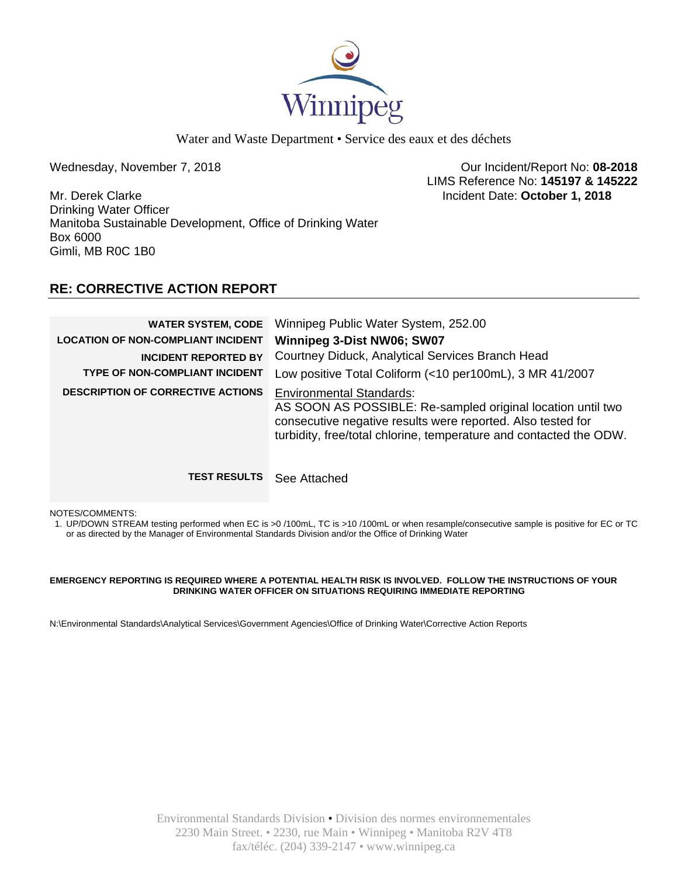

Wednesday, November 7, 2018 **Contract 2008** Our Incident/Report No: 08-2018 LIMS Reference No: **145197 & 145222**

Mr. Derek Clarke Incident Date: **October 1, 2018**  Drinking Water Officer Manitoba Sustainable Development, Office of Drinking Water Box 6000 Gimli, MB R0C 1B0

# **RE: CORRECTIVE ACTION REPORT**

| <b>WATER SYSTEM, CODE</b><br><b>LOCATION OF NON-COMPLIANT INCIDENT</b><br><b>INCIDENT REPORTED BY</b><br><b>TYPE OF NON-COMPLIANT INCIDENT</b><br><b>DESCRIPTION OF CORRECTIVE ACTIONS</b> | Winnipeg Public Water System, 252.00<br>Winnipeg 3-Dist NW06; SW07<br>Courtney Diduck, Analytical Services Branch Head<br>Low positive Total Coliform (<10 per100mL), 3 MR 41/2007<br><b>Environmental Standards:</b><br>AS SOON AS POSSIBLE: Re-sampled original location until two |
|--------------------------------------------------------------------------------------------------------------------------------------------------------------------------------------------|--------------------------------------------------------------------------------------------------------------------------------------------------------------------------------------------------------------------------------------------------------------------------------------|
| <b>TEST RESULTS</b>                                                                                                                                                                        | consecutive negative results were reported. Also tested for<br>turbidity, free/total chlorine, temperature and contacted the ODW.<br>See Attached                                                                                                                                    |

NOTES/COMMENTS:

1. UP/DOWN STREAM testing performed when EC is >0 /100mL, TC is >10 /100mL or when resample/consecutive sample is positive for EC or TC or as directed by the Manager of Environmental Standards Division and/or the Office of Drinking Water

### **EMERGENCY REPORTING IS REQUIRED WHERE A POTENTIAL HEALTH RISK IS INVOLVED. FOLLOW THE INSTRUCTIONS OF YOUR DRINKING WATER OFFICER ON SITUATIONS REQUIRING IMMEDIATE REPORTING**

N:\Environmental Standards\Analytical Services\Government Agencies\Office of Drinking Water\Corrective Action Reports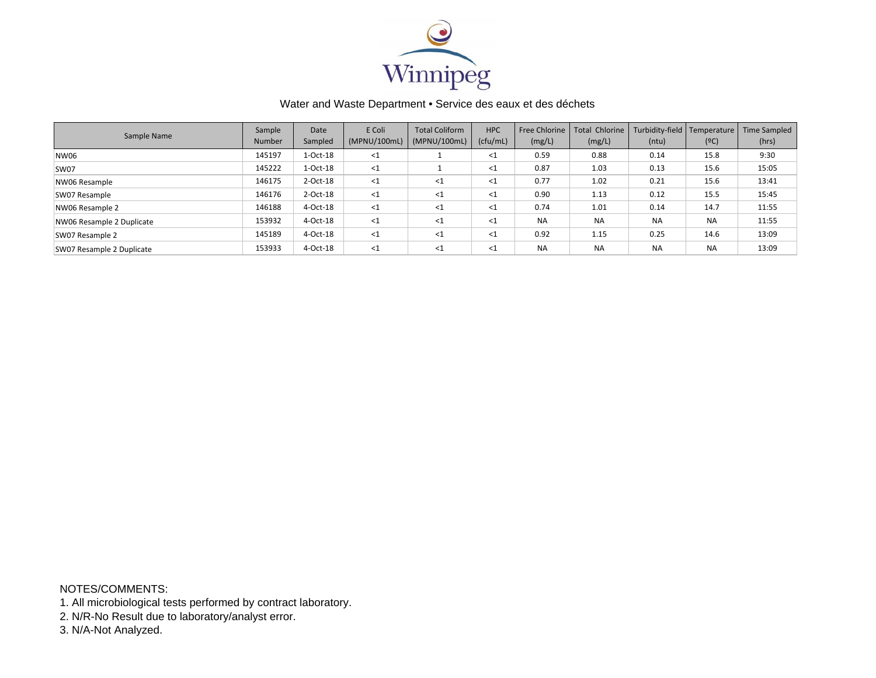

| Sample Name               | Sample<br><b>Number</b> | Date<br>Sampled | E Coli<br>(MPNU/100mL) | <b>Total Coliform</b><br>(MPNU/100mL) | <b>HPC</b><br>(cfu/mL) | Free Chlorine<br>(mg/L) | <b>Total Chlorine</b><br>(mg/L) | Turbidity-field   Temperature<br>(ntu) | (°C)      | <b>Time Sampled</b><br>(hrs) |
|---------------------------|-------------------------|-----------------|------------------------|---------------------------------------|------------------------|-------------------------|---------------------------------|----------------------------------------|-----------|------------------------------|
| NW06                      | 145197                  | $1-Oct-18$      | $<$ 1                  |                                       | <1                     | 0.59                    | 0.88                            | 0.14                                   | 15.8      | 9:30                         |
| SW07                      | 145222                  | $1-Oct-18$      | $\leq$ 1               |                                       | <1                     | 0.87                    | 1.03                            | 0.13                                   | 15.6      | 15:05                        |
| NW06 Resample             | 146175                  | $2$ -Oct-18     | $\leq$ 1               | $<$ 1                                 | $<$ 1                  | 0.77                    | 1.02                            | 0.21                                   | 15.6      | 13:41                        |
| SW07 Resample             | 146176                  | $2$ -Oct-18     | $\leq$ 1               | $\leq$ 1                              | $<$ 1                  | 0.90                    | 1.13                            | 0.12                                   | 15.5      | 15:45                        |
| NW06 Resample 2           | 146188                  | 4-Oct-18        | $\leq$ 1               | $\leq$ 1                              | $\leq 1$               | 0.74                    | 1.01                            | 0.14                                   | 14.7      | 11:55                        |
| NW06 Resample 2 Duplicate | 153932                  | 4-Oct-18        | $\leq$ 1               | $\leq$ 1                              | $<$ 1                  | <b>NA</b>               | <b>NA</b>                       | <b>NA</b>                              | <b>NA</b> | 11:55                        |
| SW07 Resample 2           | 145189                  | 4-Oct-18        | $<$ 1                  | $\leq$ 1                              | <1                     | 0.92                    | 1.15                            | 0.25                                   | 14.6      | 13:09                        |
| SW07 Resample 2 Duplicate | 153933                  | 4-Oct-18        | $<$ 1                  | $<$ 1                                 | <1                     | <b>NA</b>               | <b>NA</b>                       | <b>NA</b>                              | <b>NA</b> | 13:09                        |

NOTES/COMMENTS:

1. All microbiological tests performed by contract laboratory.

2. N/R-No Result due to laboratory/analyst error.

3. N/A-Not Analyzed.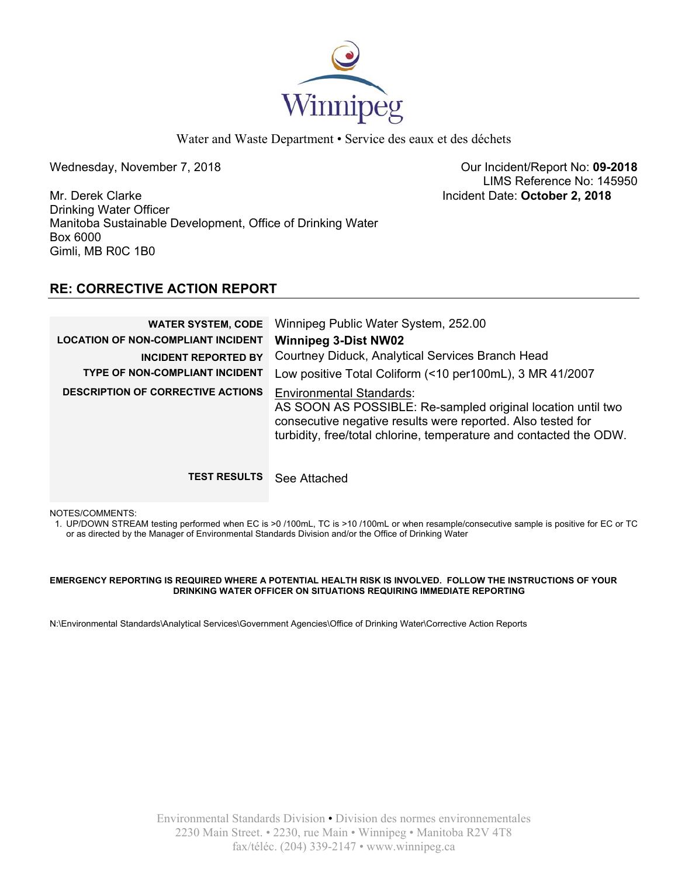

Wednesday, November 7, 2018 **Contract 2008** Our Incident/Report No: 09-2018 LIMS Reference No: 145950

Mr. Derek Clarke Incident Date: **October 2, 2018**  Drinking Water Officer Manitoba Sustainable Development, Office of Drinking Water Box 6000 Gimli, MB R0C 1B0

# **RE: CORRECTIVE ACTION REPORT**

| <b>WATER SYSTEM, CODE</b><br><b>LOCATION OF NON-COMPLIANT INCIDENT</b><br><b>INCIDENT REPORTED BY</b><br><b>TYPE OF NON-COMPLIANT INCIDENT</b><br><b>DESCRIPTION OF CORRECTIVE ACTIONS</b> | Winnipeg Public Water System, 252.00<br><b>Winnipeg 3-Dist NW02</b><br>Courtney Diduck, Analytical Services Branch Head<br>Low positive Total Coliform (<10 per100mL), 3 MR 41/2007<br><b>Environmental Standards:</b><br>AS SOON AS POSSIBLE: Re-sampled original location until two<br>consecutive negative results were reported. Also tested for<br>turbidity, free/total chlorine, temperature and contacted the ODW. |
|--------------------------------------------------------------------------------------------------------------------------------------------------------------------------------------------|----------------------------------------------------------------------------------------------------------------------------------------------------------------------------------------------------------------------------------------------------------------------------------------------------------------------------------------------------------------------------------------------------------------------------|
| <b>TEST RESULTS</b>                                                                                                                                                                        | See Attached                                                                                                                                                                                                                                                                                                                                                                                                               |

NOTES/COMMENTS:

1. UP/DOWN STREAM testing performed when EC is >0 /100mL, TC is >10 /100mL or when resample/consecutive sample is positive for EC or TC or as directed by the Manager of Environmental Standards Division and/or the Office of Drinking Water

### **EMERGENCY REPORTING IS REQUIRED WHERE A POTENTIAL HEALTH RISK IS INVOLVED. FOLLOW THE INSTRUCTIONS OF YOUR DRINKING WATER OFFICER ON SITUATIONS REQUIRING IMMEDIATE REPORTING**

N:\Environmental Standards\Analytical Services\Government Agencies\Office of Drinking Water\Corrective Action Reports